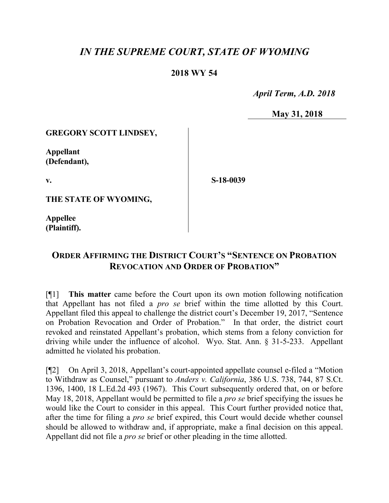# *IN THE SUPREME COURT, STATE OF WYOMING*

## **2018 WY 54**

 *April Term, A.D. 2018*

**May 31, 2018**

#### **GREGORY SCOTT LINDSEY,**

**Appellant (Defendant),**

**v.**

**S-18-0039**

**THE STATE OF WYOMING,**

**Appellee (Plaintiff).**

# **ORDER AFFIRMING THE DISTRICT COURT'S "SENTENCE ON PROBATION REVOCATION AND ORDER OF PROBATION"**

[¶1] **This matter** came before the Court upon its own motion following notification that Appellant has not filed a *pro se* brief within the time allotted by this Court. Appellant filed this appeal to challenge the district court's December 19, 2017, "Sentence on Probation Revocation and Order of Probation." In that order, the district court revoked and reinstated Appellant's probation, which stems from a felony conviction for driving while under the influence of alcohol. Wyo. Stat. Ann. § 31-5-233. Appellant admitted he violated his probation.

[¶2] On April 3, 2018, Appellant's court-appointed appellate counsel e-filed a "Motion to Withdraw as Counsel," pursuant to *Anders v. California*, 386 U.S. 738, 744, 87 S.Ct. 1396, 1400, 18 L.Ed.2d 493 (1967). This Court subsequently ordered that, on or before May 18, 2018, Appellant would be permitted to file a *pro se* brief specifying the issues he would like the Court to consider in this appeal. This Court further provided notice that, after the time for filing a *pro se* brief expired, this Court would decide whether counsel should be allowed to withdraw and, if appropriate, make a final decision on this appeal. Appellant did not file a *pro se* brief or other pleading in the time allotted.